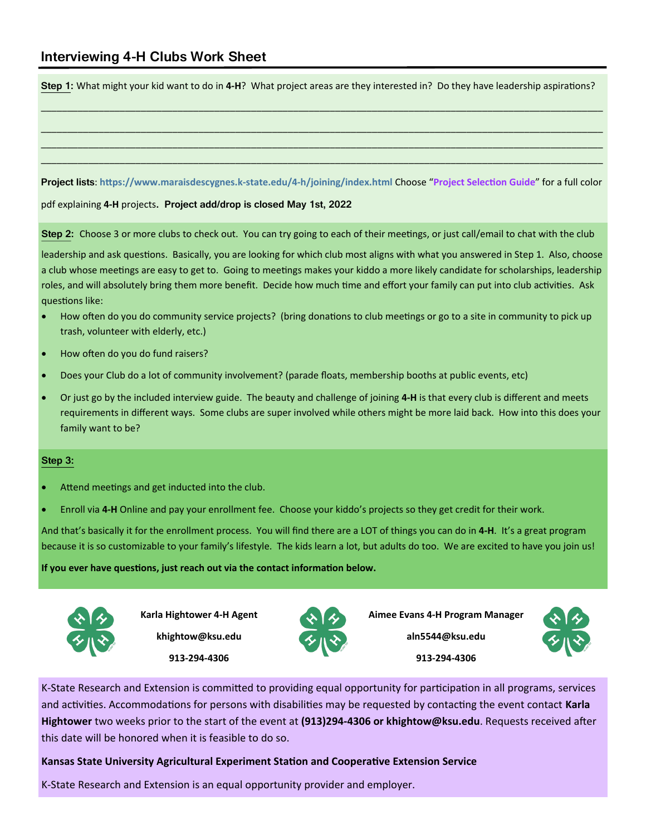**Step 1:** What might your kid want to do in **4-H**? What project areas are they interested in? Do they have leadership aspirations?

\_\_\_\_\_\_\_\_\_\_\_\_\_\_\_\_\_\_\_\_\_\_\_\_\_\_\_\_\_\_\_\_\_\_\_\_\_\_\_\_\_\_\_\_\_\_\_\_\_\_\_\_\_\_\_\_\_\_\_\_\_\_\_\_\_\_\_\_\_\_\_\_\_\_\_\_\_\_\_\_\_\_\_\_\_\_\_\_\_\_\_\_\_\_\_\_\_\_\_\_\_\_\_\_\_\_\_

\_\_\_\_\_\_\_\_\_\_\_\_\_\_\_\_\_\_\_\_\_\_\_\_\_\_\_\_\_\_\_\_\_\_\_\_\_\_\_\_\_\_\_\_\_\_\_\_\_\_\_\_\_\_\_\_\_\_\_\_\_\_\_\_\_\_\_\_\_\_\_\_\_\_\_\_\_\_\_\_\_\_\_\_\_\_\_\_\_\_\_\_\_\_\_\_\_\_\_\_\_\_\_\_\_\_\_ \_\_\_\_\_\_\_\_\_\_\_\_\_\_\_\_\_\_\_\_\_\_\_\_\_\_\_\_\_\_\_\_\_\_\_\_\_\_\_\_\_\_\_\_\_\_\_\_\_\_\_\_\_\_\_\_\_\_\_\_\_\_\_\_\_\_\_\_\_\_\_\_\_\_\_\_\_\_\_\_\_\_\_\_\_\_\_\_\_\_\_\_\_\_\_\_\_\_\_\_\_\_\_\_\_\_\_ \_\_\_\_\_\_\_\_\_\_\_\_\_\_\_\_\_\_\_\_\_\_\_\_\_\_\_\_\_\_\_\_\_\_\_\_\_\_\_\_\_\_\_\_\_\_\_\_\_\_\_\_\_\_\_\_\_\_\_\_\_\_\_\_\_\_\_\_\_\_\_\_\_\_\_\_\_\_\_\_\_\_\_\_\_\_\_\_\_\_\_\_\_\_\_\_\_\_\_\_\_\_\_\_\_\_\_

## **Project lists**: **https://www.maraisdescygnes.k-state.edu/4-h/joining/index.html** Choose "**Project Selection Guide**" for a full color

pdf explaining **4-H** projects**. Project add/drop is closed May 1st, 2022**

**Step 2:** Choose 3 or more clubs to check out. You can try going to each of their meetings, or just call/email to chat with the club

leadership and ask questions. Basically, you are looking for which club most aligns with what you answered in Step 1. Also, choose a club whose meetings are easy to get to. Going to meetings makes your kiddo a more likely candidate for scholarships, leadership roles, and will absolutely bring them more benefit. Decide how much time and effort your family can put into club activities. Ask questions like:

- How often do you do community service projects? (bring donations to club meetings or go to a site in community to pick up trash, volunteer with elderly, etc.)
- How often do you do fund raisers?
- Does your Club do a lot of community involvement? (parade floats, membership booths at public events, etc)
- Or just go by the included interview guide. The beauty and challenge of joining **4-H** is that every club is different and meets requirements in different ways. Some clubs are super involved while others might be more laid back. How into this does your family want to be?

## **Step 3:**

- Attend meetings and get inducted into the club.
- Enroll via **4-H** Online and pay your enrollment fee. Choose your kiddo's projects so they get credit for their work.

And that's basically it for the enrollment process. You will find there are a LOT of things you can do in **4-H**. It's a great program because it is so customizable to your family's lifestyle. The kids learn a lot, but adults do too. We are excited to have you join us!

**If you ever have questions, just reach out via the contact information below.**



**Karla Hightower 4-H Agent khightow@ksu.edu 913-294-4306**



**Aimee Evans 4-H Program Manager**

**aln5544@ksu.edu 913-294-4306**



K-State Research and Extension is committed to providing equal opportunity for participation in all programs, services and activities. Accommodations for persons with disabilities may be requested by contacting the event contact **Karla Hightower** two weeks prior to the start of the event at **(913)294-4306 or khightow@ksu.edu**. Requests received after this date will be honored when it is feasible to do so.

**Kansas State University Agricultural Experiment Station and Cooperative Extension Service**

K-State Research and Extension is an equal opportunity provider and employer.